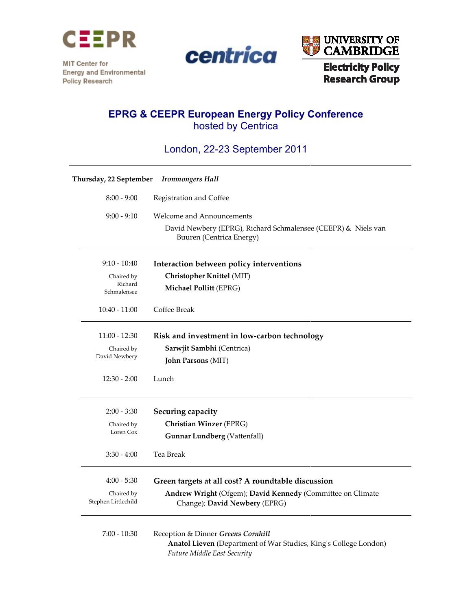

centrica

MIT Center for **Energy and Environmental** Policy Research



## EPRG & CEEPR European Energy hosted by Centrica

| <b>EPRG &amp; CEEPR European Energy Policy Conference</b><br>hosted by Centrica<br>London, 22-23 September 2011 |                                   |                                                                                                                                       |
|-----------------------------------------------------------------------------------------------------------------|-----------------------------------|---------------------------------------------------------------------------------------------------------------------------------------|
|                                                                                                                 |                                   |                                                                                                                                       |
|                                                                                                                 | $8:00 - 9:00$                     | Registration and Coffee                                                                                                               |
|                                                                                                                 | $9:00 - 9:10$                     | <b>Welcome and Announcements</b>                                                                                                      |
|                                                                                                                 |                                   | David Newbery (EPRG), Richard Schmalensee (CEEPR) & Niels van<br>Buuren (Centrica Energy)                                             |
|                                                                                                                 | $9:10 - 10:40$                    | Interaction between policy interventions                                                                                              |
|                                                                                                                 | Chaired by                        | Christopher Knittel (MIT)                                                                                                             |
|                                                                                                                 | Richard<br>Schmalensee            | <b>Michael Pollitt (EPRG)</b>                                                                                                         |
|                                                                                                                 | $10:40 - 11:00$                   | Coffee Break                                                                                                                          |
|                                                                                                                 | $11:00 - 12:30$                   | Risk and investment in low-carbon technology                                                                                          |
|                                                                                                                 | Chaired by                        | Sarwjit Sambhi (Centrica)                                                                                                             |
|                                                                                                                 | David Newbery                     | <b>John Parsons (MIT)</b>                                                                                                             |
|                                                                                                                 | $12:30 - 2:00$                    | Lunch                                                                                                                                 |
|                                                                                                                 | $2:00 - 3:30$                     | Securing capacity                                                                                                                     |
|                                                                                                                 | Chaired by                        | Christian Winzer (EPRG)                                                                                                               |
|                                                                                                                 | Loren Cox                         | <b>Gunnar Lundberg (Vattenfall)</b>                                                                                                   |
|                                                                                                                 | 3:30 - 4:00                       | Tea Break                                                                                                                             |
|                                                                                                                 | $4:00 - 5:30$                     | Green targets at all cost? A roundtable discussion                                                                                    |
|                                                                                                                 | Chaired by<br>Stephen Littlechild | Andrew Wright (Ofgem); David Kennedy (Committee on Climate<br>Change); David Newbery (EPRG)                                           |
|                                                                                                                 | $7:00 - 10:30$                    | Reception & Dinner Greens Cornhill<br>Anatol Lieven (Department of War Studies, King's College London)<br>Future Middle East Security |